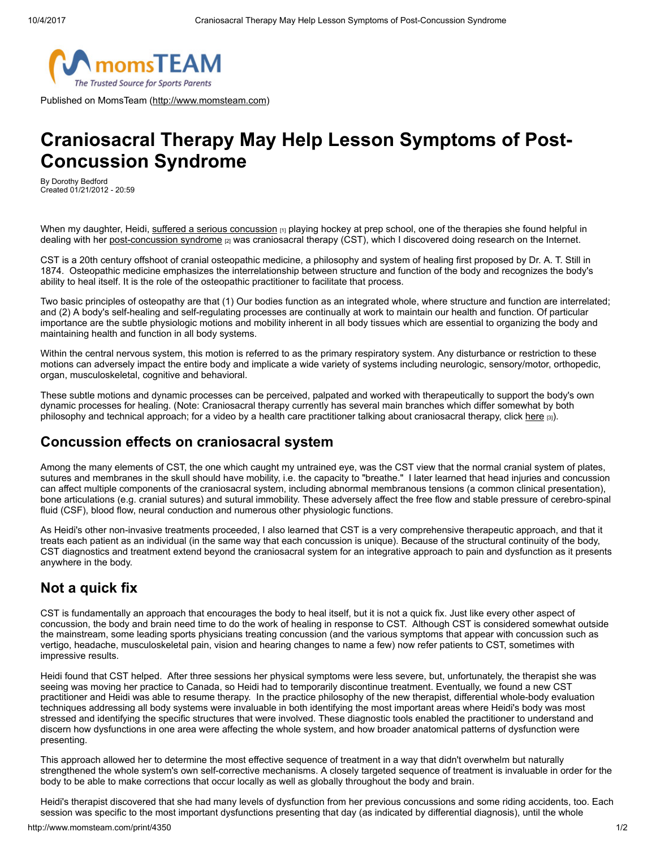

Published on MomsTeam [\(http://www.momsteam.com](http://www.momsteam.com/))

# Craniosacral Therapy May Help Lesson Symptoms of Post-Concussion Syndrome

By Dorothy Bedford Created 01/21/2012 - 20:59

When my daughter, Heidi, [suffered a serious concussion](http://www.momsteam.com/node/4338) [1] playing hockey at prep school, one of the therapies she found helpful in dealing with her [post-concussion syndrome](http://www.momsteam.com/node/3310) [2] was craniosacral therapy (CST), which I discovered doing research on the Internet.

CST is a 20th century offshoot of cranial osteopathic medicine, a philosophy and system of healing first proposed by Dr. A. T. Still in 1874. Osteopathic medicine emphasizes the interrelationship between structure and function of the body and recognizes the body's ability to heal itself. It is the role of the osteopathic practitioner to facilitate that process.

Two basic principles of osteopathy are that (1) Our bodies function as an integrated whole, where structure and function are interrelated; and (2) A body's self-healing and self-regulating processes are continually at work to maintain our health and function. Of particular importance are the subtle physiologic motions and mobility inherent in all body tissues which are essential to organizing the body and maintaining health and function in all body systems.

Within the central nervous system, this motion is referred to as the primary respiratory system. Any disturbance or restriction to these motions can adversely impact the entire body and implicate a wide variety of systems including neurologic, sensory/motor, orthopedic, organ, musculoskeletal, cognitive and behavioral.

These subtle motions and dynamic processes can be perceived, palpated and worked with therapeutically to support the body's own dynamic processes for healing. (Note: Craniosacral therapy currently has several main branches which differ somewhat by both philosophy and technical approach; for a video by a health care practitioner talking about craniosacral therapy, click [here](http://www.momsteam.com/node/4189) [3]).

### Concussion effects on craniosacral system

Among the many elements of CST, the one which caught my untrained eye, was the CST view that the normal cranial system of plates, sutures and membranes in the skull should have mobility, i.e. the capacity to "breathe." I later learned that head injuries and concussion can affect multiple components of the craniosacral system, including abnormal membranous tensions (a common clinical presentation), bone articulations (e.g. cranial sutures) and sutural immobility. These adversely affect the free flow and stable pressure of cerebro-spinal fluid (CSF), blood flow, neural conduction and numerous other physiologic functions.

As Heidi's other non-invasive treatments proceeded, I also learned that CST is a very comprehensive therapeutic approach, and that it treats each patient as an individual (in the same way that each concussion is unique). Because of the structural continuity of the body, CST diagnostics and treatment extend beyond the craniosacral system for an integrative approach to pain and dysfunction as it presents anywhere in the body.

## Not a quick fix

CST is fundamentally an approach that encourages the body to heal itself, but it is not a quick fix. Just like every other aspect of concussion, the body and brain need time to do the work of healing in response to CST. Although CST is considered somewhat outside the mainstream, some leading sports physicians treating concussion (and the various symptoms that appear with concussion such as vertigo, headache, musculoskeletal pain, vision and hearing changes to name a few) now refer patients to CST, sometimes with impressive results.

Heidi found that CST helped. After three sessions her physical symptoms were less severe, but, unfortunately, the therapist she was seeing was moving her practice to Canada, so Heidi had to temporarily discontinue treatment. Eventually, we found a new CST practitioner and Heidi was able to resume therapy. In the practice philosophy of the new therapist, differential whole-body evaluation techniques addressing all body systems were invaluable in both identifying the most important areas where Heidi's body was most stressed and identifying the specific structures that were involved. These diagnostic tools enabled the practitioner to understand and discern how dysfunctions in one area were affecting the whole system, and how broader anatomical patterns of dysfunction were presenting.

This approach allowed her to determine the most effective sequence of treatment in a way that didn't overwhelm but naturally strengthened the whole system's own self-corrective mechanisms. A closely targeted sequence of treatment is invaluable in order for the body to be able to make corrections that occur locally as well as globally throughout the body and brain.

Heidi's therapist discovered that she had many levels of dysfunction from her previous concussions and some riding accidents, too. Each session was specific to the most important dysfunctions presenting that day (as indicated by differential diagnosis), until the whole